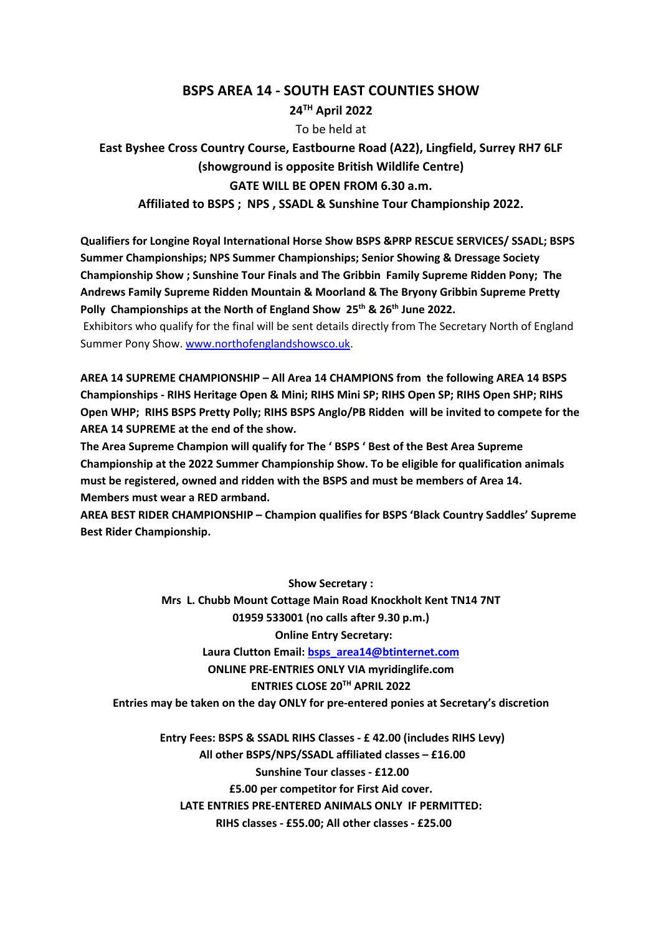## **BSPS AREA 14 - SOUTH EAST COUNTIES SHOW**

### **24TH April 2022**

To be held at

# **East Byshee Cross Country Course, Eastbourne Road (A22), Lingfield, Surrey RH7 6LF (showground is opposite British Wildlife Centre) GATE WILL BE OPEN FROM 6.30 a.m.**

**Affiliated to BSPS ; NPS , SSADL & Sunshine Tour Championship 2022.**

**Qualifiers for Longine Royal International Horse Show BSPS &PRP RESCUE SERVICES/ SSADL; BSPS Summer Championships; NPS Summer Championships; Senior Showing & Dressage Society Championship Show ; Sunshine Tour Finals and The Gribbin Family Supreme Ridden Pony; The Andrews Family Supreme Ridden Mountain & Moorland & The Bryony Gribbin Supreme Pretty**  Polly Championships at the North of England Show 25<sup>th</sup> & 26<sup>th</sup> June 2022.

Exhibitors who qualify for the final will be sent details directly from The Secretary North of England Summer Pony Show. www.northofenglandshowsco.uk.

**AREA 14 SUPREME CHAMPIONSHIP – All Area 14 CHAMPIONS from the following AREA 14 BSPS Championships - RIHS Heritage Open & Mini; RIHS Mini SP; RIHS Open SP; RIHS Open SHP; RIHS Open WHP; RIHS BSPS Pretty Polly; RIHS BSPS Anglo/PB Ridden will be invited to compete for the AREA 14 SUPREME at the end of the show.** 

**The Area Supreme Champion will qualify for The ' BSPS ' Best of the Best Area Supreme Championship at the 2022 Summer Championship Show. To be eligible for qualification animals must be registered, owned and ridden with the BSPS and must be members of Area 14. Members must wear a RED armband.**

**AREA BEST RIDER CHAMPIONSHIP – Champion qualifies for BSPS 'Black Country Saddles' Supreme Best Rider Championship.** 

> **Show Secretary : Mrs L. Chubb Mount Cottage Main Road Knockholt Kent TN14 7NT 01959 533001 (no calls after 9.30 p.m.) Online Entry Secretary: Laura Clutton Email: bsps\_area14@btinternet.com ONLINE PRE-ENTRIES ONLY VIA myridinglife.com ENTRIES CLOSE 20TH APRIL 2022**

**Entries may be taken on the day ONLY for pre-entered ponies at Secretary's discretion**

**Entry Fees: BSPS & SSADL RIHS Classes - £ 42.00 (includes RIHS Levy) All other BSPS/NPS/SSADL affiliated classes – £16.00 Sunshine Tour classes - £12.00 £5.00 per competitor for First Aid cover. LATE ENTRIES PRE-ENTERED ANIMALS ONLY IF PERMITTED: RIHS classes - £55.00; All other classes - £25.00**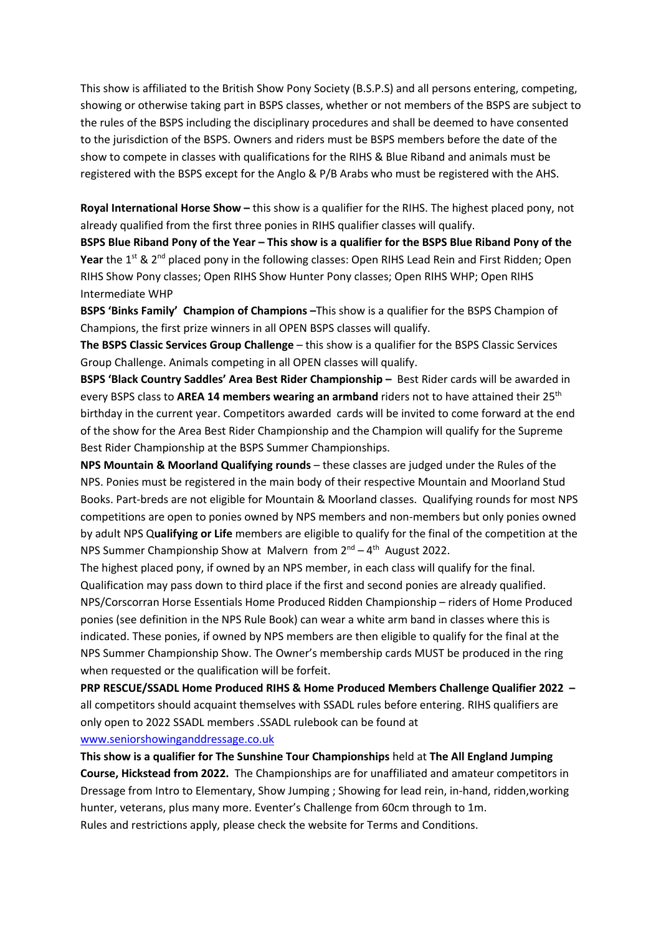This show is affiliated to the British Show Pony Society (B.S.P.S) and all persons entering, competing, showing or otherwise taking part in BSPS classes, whether or not members of the BSPS are subject to the rules of the BSPS including the disciplinary procedures and shall be deemed to have consented to the jurisdiction of the BSPS. Owners and riders must be BSPS members before the date of the show to compete in classes with qualifications for the RIHS & Blue Riband and animals must be registered with the BSPS except for the Anglo & P/B Arabs who must be registered with the AHS.

**Royal International Horse Show –** this show is a qualifier for the RIHS. The highest placed pony, not already qualified from the first three ponies in RIHS qualifier classes will qualify.

**BSPS Blue Riband Pony of the Year – This show is a qualifier for the BSPS Blue Riband Pony of the**  Year the 1<sup>st</sup> & 2<sup>nd</sup> placed pony in the following classes: Open RIHS Lead Rein and First Ridden; Open RIHS Show Pony classes; Open RIHS Show Hunter Pony classes; Open RIHS WHP; Open RIHS Intermediate WHP

**BSPS 'Binks Family' Champion of Champions –**This show is a qualifier for the BSPS Champion of Champions, the first prize winners in all OPEN BSPS classes will qualify.

**The BSPS Classic Services Group Challenge** – this show is a qualifier for the BSPS Classic Services Group Challenge. Animals competing in all OPEN classes will qualify.

**BSPS 'Black Country Saddles' Area Best Rider Championship –** Best Rider cards will be awarded in every BSPS class to **AREA 14 members wearing an armband** riders not to have attained their 25th birthday in the current year. Competitors awarded cards will be invited to come forward at the end of the show for the Area Best Rider Championship and the Champion will qualify for the Supreme Best Rider Championship at the BSPS Summer Championships.

**NPS Mountain & Moorland Qualifying rounds** – these classes are judged under the Rules of the NPS. Ponies must be registered in the main body of their respective Mountain and Moorland Stud Books. Part-breds are not eligible for Mountain & Moorland classes. Qualifying rounds for most NPS competitions are open to ponies owned by NPS members and non-members but only ponies owned by adult NPS Q**ualifying or Life** members are eligible to qualify for the final of the competition at the NPS Summer Championship Show at Malvern from  $2^{nd} - 4^{th}$  August 2022.

The highest placed pony, if owned by an NPS member, in each class will qualify for the final. Qualification may pass down to third place if the first and second ponies are already qualified. NPS/Corscorran Horse Essentials Home Produced Ridden Championship – riders of Home Produced ponies (see definition in the NPS Rule Book) can wear a white arm band in classes where this is indicated. These ponies, if owned by NPS members are then eligible to qualify for the final at the NPS Summer Championship Show. The Owner's membership cards MUST be produced in the ring when requested or the qualification will be forfeit.

**PRP RESCUE/SSADL Home Produced RIHS & Home Produced Members Challenge Qualifier 2022 –** all competitors should acquaint themselves with SSADL rules before entering. RIHS qualifiers are only open to 2022 SSADL members .SSADL rulebook can be found at www.seniorshowinganddressage.co.uk

**This show is a qualifier for The Sunshine Tour Championships** held at **The All England Jumping Course, Hickstead from 2022.** The Championships are for unaffiliated and amateur competitors in Dressage from Intro to Elementary, Show Jumping ; Showing for lead rein, in-hand, ridden,working hunter, veterans, plus many more. Eventer's Challenge from 60cm through to 1m. Rules and restrictions apply, please check the website for Terms and Conditions.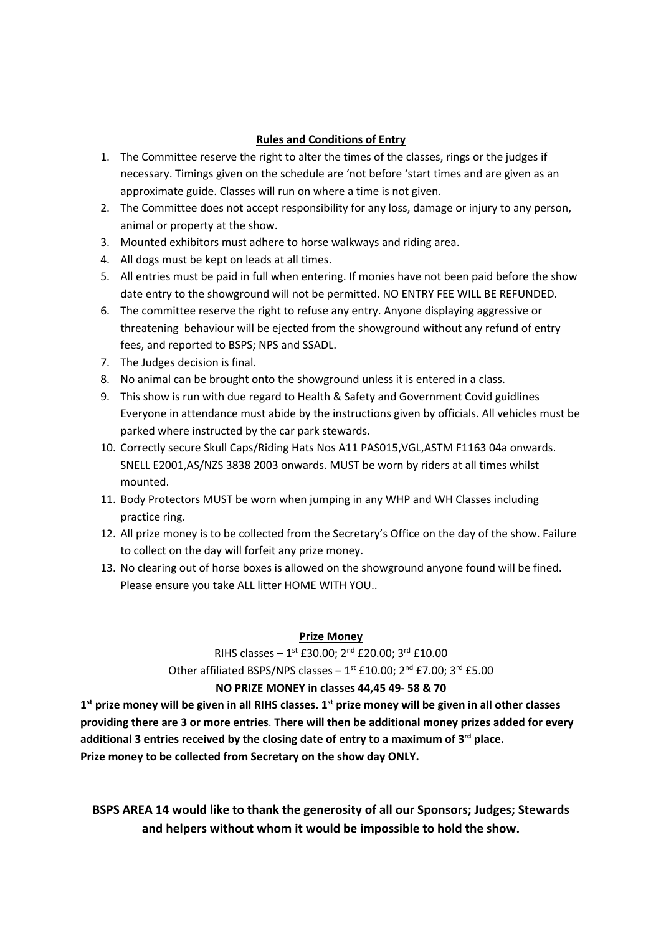## **Rules and Conditions of Entry**

- 1. The Committee reserve the right to alter the times of the classes, rings or the judges if necessary. Timings given on the schedule are 'not before 'start times and are given as an approximate guide. Classes will run on where a time is not given.
- 2. The Committee does not accept responsibility for any loss, damage or injury to any person, animal or property at the show.
- 3. Mounted exhibitors must adhere to horse walkways and riding area.
- 4. All dogs must be kept on leads at all times.
- 5. All entries must be paid in full when entering. If monies have not been paid before the show date entry to the showground will not be permitted. NO ENTRY FEE WILL BE REFUNDED.
- 6. The committee reserve the right to refuse any entry. Anyone displaying aggressive or threatening behaviour will be ejected from the showground without any refund of entry fees, and reported to BSPS; NPS and SSADL.
- 7. The Judges decision is final.
- 8. No animal can be brought onto the showground unless it is entered in a class.
- 9. This show is run with due regard to Health & Safety and Government Covid guidlines Everyone in attendance must abide by the instructions given by officials. All vehicles must be parked where instructed by the car park stewards.
- 10. Correctly secure Skull Caps/Riding Hats Nos A11 PAS015,VGL,ASTM F1163 04a onwards. SNELL E2001,AS/NZS 3838 2003 onwards. MUST be worn by riders at all times whilst mounted.
- 11. Body Protectors MUST be worn when jumping in any WHP and WH Classes including practice ring.
- 12. All prize money is to be collected from the Secretary's Office on the day of the show. Failure to collect on the day will forfeit any prize money.
- 13. No clearing out of horse boxes is allowed on the showground anyone found will be fined. Please ensure you take ALL litter HOME WITH YOU..

## **Prize Money**

RIHS classes –  $1^{st}$  £30.00;  $2^{nd}$  £20.00;  $3^{rd}$  £10.00 Other affiliated BSPS/NPS classes  $-1^{st}$  £10.00; 2<sup>nd</sup> £7.00; 3<sup>rd</sup> £5.00

## **NO PRIZE MONEY in classes 44,45 49- 58 & 70**

**1st prize money will be given in all RIHS classes. 1st prize money will be given in all other classes providing there are 3 or more entries**. **There will then be additional money prizes added for every additional 3 entries received by the closing date of entry to a maximum of 3rd place. Prize money to be collected from Secretary on the show day ONLY.**

**BSPS AREA 14 would like to thank the generosity of all our Sponsors; Judges; Stewards and helpers without whom it would be impossible to hold the show.**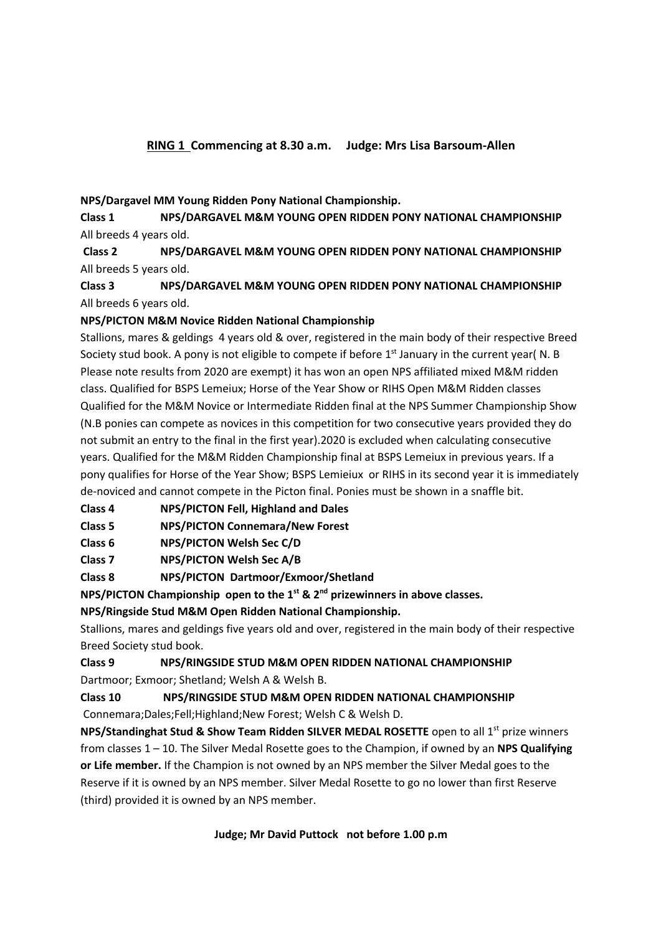## **NPS/Dargavel MM Young Ridden Pony National Championship.**

**Class 1 NPS/DARGAVEL M&M YOUNG OPEN RIDDEN PONY NATIONAL CHAMPIONSHIP** All breeds 4 years old.

**Class 2 NPS/DARGAVEL M&M YOUNG OPEN RIDDEN PONY NATIONAL CHAMPIONSHIP** All breeds 5 years old.

**Class 3 NPS/DARGAVEL M&M YOUNG OPEN RIDDEN PONY NATIONAL CHAMPIONSHIP** All breeds 6 years old.

## **NPS/PICTON M&M Novice Ridden National Championship**

Stallions, mares & geldings 4 years old & over, registered in the main body of their respective Breed Society stud book. A pony is not eligible to compete if before  $1<sup>st</sup>$  January in the current year( N. B Please note results from 2020 are exempt) it has won an open NPS affiliated mixed M&M ridden class. Qualified for BSPS Lemeiux; Horse of the Year Show or RIHS Open M&M Ridden classes Qualified for the M&M Novice or Intermediate Ridden final at the NPS Summer Championship Show (N.B ponies can compete as novices in this competition for two consecutive years provided they do not submit an entry to the final in the first year).2020 is excluded when calculating consecutive years. Qualified for the M&M Ridden Championship final at BSPS Lemeiux in previous years. If a pony qualifies for Horse of the Year Show; BSPS Lemieiux or RIHS in its second year it is immediately de-noviced and cannot compete in the Picton final. Ponies must be shown in a snaffle bit.

**Class 4 NPS/PICTON Fell, Highland and Dales**

**Class 5 NPS/PICTON Connemara/New Forest**

**Class 6 NPS/PICTON Welsh Sec C/D**

**Class 7 NPS/PICTON Welsh Sec A/B**

**Class 8 NPS/PICTON Dartmoor/Exmoor/Shetland**

**NPS/PICTON Championship open to the 1st & 2nd prizewinners in above classes.**

**NPS/Ringside Stud M&M Open Ridden National Championship.**

Stallions, mares and geldings five years old and over, registered in the main body of their respective Breed Society stud book.

## **Class 9 NPS/RINGSIDE STUD M&M OPEN RIDDEN NATIONAL CHAMPIONSHIP** Dartmoor; Exmoor; Shetland; Welsh A & Welsh B.

**Class 10 NPS/RINGSIDE STUD M&M OPEN RIDDEN NATIONAL CHAMPIONSHIP** Connemara;Dales;Fell;Highland;New Forest; Welsh C & Welsh D.

**NPS/Standinghat Stud & Show Team Ridden SILVER MEDAL ROSETTE** open to all 1<sup>st</sup> prize winners from classes 1 – 10. The Silver Medal Rosette goes to the Champion, if owned by an **NPS Qualifying or Life member.** If the Champion is not owned by an NPS member the Silver Medal goes to the Reserve if it is owned by an NPS member. Silver Medal Rosette to go no lower than first Reserve (third) provided it is owned by an NPS member.

## **Judge; Mr David Puttock not before 1.00 p.m**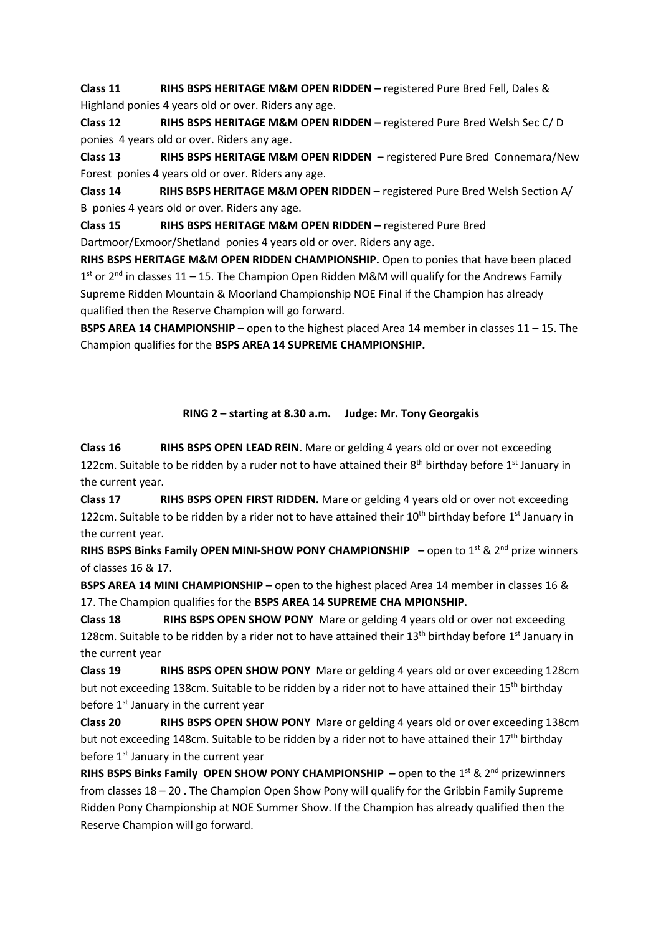**Class 11 RIHS BSPS HERITAGE M&M OPEN RIDDEN –** registered Pure Bred Fell, Dales & Highland ponies 4 years old or over. Riders any age.

**Class 12 RIHS BSPS HERITAGE M&M OPEN RIDDEN –** registered Pure Bred Welsh Sec C/ D ponies 4 years old or over. Riders any age.

**Class 13 RIHS BSPS HERITAGE M&M OPEN RIDDEN –** registered Pure Bred Connemara/New Forest ponies 4 years old or over. Riders any age.

**Class 14 RIHS BSPS HERITAGE M&M OPEN RIDDEN –** registered Pure Bred Welsh Section A/ B ponies 4 years old or over. Riders any age.

**Class 15 RIHS BSPS HERITAGE M&M OPEN RIDDEN –** registered Pure Bred Dartmoor/Exmoor/Shetland ponies 4 years old or over. Riders any age.

**RIHS BSPS HERITAGE M&M OPEN RIDDEN CHAMPIONSHIP.** Open to ponies that have been placed  $1<sup>st</sup>$  or  $2<sup>nd</sup>$  in classes 11 – 15. The Champion Open Ridden M&M will qualify for the Andrews Family Supreme Ridden Mountain & Moorland Championship NOE Final if the Champion has already qualified then the Reserve Champion will go forward.

**BSPS AREA 14 CHAMPIONSHIP –** open to the highest placed Area 14 member in classes 11 – 15. The Champion qualifies for the **BSPS AREA 14 SUPREME CHAMPIONSHIP.**

### **RING 2 – starting at 8.30 a.m. Judge: Mr. Tony Georgakis**

**Class 16 RIHS BSPS OPEN LEAD REIN.** Mare or gelding 4 years old or over not exceeding 122cm. Suitable to be ridden by a ruder not to have attained their  $8<sup>th</sup>$  birthday before 1<sup>st</sup> January in the current year.

**Class 17 RIHS BSPS OPEN FIRST RIDDEN.** Mare or gelding 4 years old or over not exceeding 122cm. Suitable to be ridden by a rider not to have attained their  $10^{th}$  birthday before  $1^{st}$  January in the current year.

**RIHS BSPS Binks Family OPEN MINI-SHOW PONY CHAMPIONSHIP** – open to 1<sup>st</sup> & 2<sup>nd</sup> prize winners of classes 16 & 17.

**BSPS AREA 14 MINI CHAMPIONSHIP –** open to the highest placed Area 14 member in classes 16 & 17. The Champion qualifies for the **BSPS AREA 14 SUPREME CHA MPIONSHIP.**

**Class 18 RIHS BSPS OPEN SHOW PONY** Mare or gelding 4 years old or over not exceeding 128cm. Suitable to be ridden by a rider not to have attained their 13<sup>th</sup> birthday before 1<sup>st</sup> January in the current year

**Class 19 RIHS BSPS OPEN SHOW PONY** Mare or gelding 4 years old or over exceeding 128cm but not exceeding 138cm. Suitable to be ridden by a rider not to have attained their 15<sup>th</sup> birthday before  $1<sup>st</sup>$  January in the current year

**Class 20 RIHS BSPS OPEN SHOW PONY** Mare or gelding 4 years old or over exceeding 138cm but not exceeding 148cm. Suitable to be ridden by a rider not to have attained their 17<sup>th</sup> birthday before  $1<sup>st</sup>$  January in the current year

**RIHS BSPS Binks Family OPEN SHOW PONY CHAMPIONSHIP** – open to the 1<sup>st</sup> & 2<sup>nd</sup> prizewinners from classes 18 – 20 . The Champion Open Show Pony will qualify for the Gribbin Family Supreme Ridden Pony Championship at NOE Summer Show. If the Champion has already qualified then the Reserve Champion will go forward.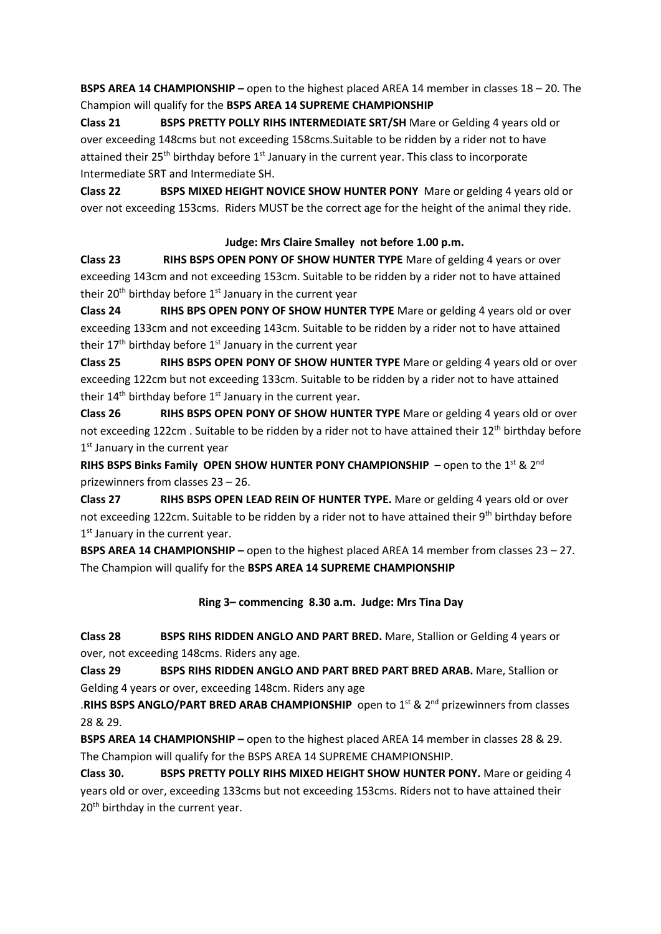**BSPS AREA 14 CHAMPIONSHIP –** open to the highest placed AREA 14 member in classes 18 – 20. The Champion will qualify for the **BSPS AREA 14 SUPREME CHAMPIONSHIP**

**Class 21 BSPS PRETTY POLLY RIHS INTERMEDIATE SRT/SH** Mare or Gelding 4 years old or over exceeding 148cms but not exceeding 158cms.Suitable to be ridden by a rider not to have attained their  $25<sup>th</sup>$  birthday before  $1<sup>st</sup>$  January in the current year. This class to incorporate Intermediate SRT and Intermediate SH.

**Class 22 BSPS MIXED HEIGHT NOVICE SHOW HUNTER PONY** Mare or gelding 4 years old or over not exceeding 153cms. Riders MUST be the correct age for the height of the animal they ride.

## **Judge: Mrs Claire Smalley not before 1.00 p.m.**

**Class 23 RIHS BSPS OPEN PONY OF SHOW HUNTER TYPE** Mare of gelding 4 years or over exceeding 143cm and not exceeding 153cm. Suitable to be ridden by a rider not to have attained their 20<sup>th</sup> birthday before  $1<sup>st</sup>$  January in the current year

**Class 24 RIHS BPS OPEN PONY OF SHOW HUNTER TYPE** Mare or gelding 4 years old or over exceeding 133cm and not exceeding 143cm. Suitable to be ridden by a rider not to have attained their  $17<sup>th</sup>$  birthday before  $1<sup>st</sup>$  January in the current year

**Class 25 RIHS BSPS OPEN PONY OF SHOW HUNTER TYPE** Mare or gelding 4 years old or over exceeding 122cm but not exceeding 133cm. Suitable to be ridden by a rider not to have attained their  $14<sup>th</sup>$  birthday before  $1<sup>st</sup>$  January in the current year.

**Class 26 RIHS BSPS OPEN PONY OF SHOW HUNTER TYPE** Mare or gelding 4 years old or over not exceeding 122cm. Suitable to be ridden by a rider not to have attained their 12<sup>th</sup> birthday before 1st January in the current year

**RIHS BSPS Binks Family OPEN SHOW HUNTER PONY CHAMPIONSHIP** – open to the 1<sup>st</sup> & 2<sup>nd</sup> prizewinners from classes 23 – 26.

**Class 27 RIHS BSPS OPEN LEAD REIN OF HUNTER TYPE.** Mare or gelding 4 years old or over not exceeding 122cm. Suitable to be ridden by a rider not to have attained their 9<sup>th</sup> birthday before  $1<sup>st</sup>$  January in the current year.

**BSPS AREA 14 CHAMPIONSHIP –** open to the highest placed AREA 14 member from classes 23 – 27. The Champion will qualify for the **BSPS AREA 14 SUPREME CHAMPIONSHIP**

### **Ring 3– commencing 8.30 a.m. Judge: Mrs Tina Day**

**Class 28 BSPS RIHS RIDDEN ANGLO AND PART BRED.** Mare, Stallion or Gelding 4 years or over, not exceeding 148cms. Riders any age.

**Class 29 BSPS RIHS RIDDEN ANGLO AND PART BRED PART BRED ARAB.** Mare, Stallion or Gelding 4 years or over, exceeding 148cm. Riders any age

.RIHS BSPS ANGLO/PART BRED ARAB CHAMPIONSHIP open to 1<sup>st</sup> & 2<sup>nd</sup> prizewinners from classes 28 & 29.

**BSPS AREA 14 CHAMPIONSHIP –** open to the highest placed AREA 14 member in classes 28 & 29. The Champion will qualify for the BSPS AREA 14 SUPREME CHAMPIONSHIP.

**Class 30. BSPS PRETTY POLLY RIHS MIXED HEIGHT SHOW HUNTER PONY.** Mare or geiding 4 years old or over, exceeding 133cms but not exceeding 153cms. Riders not to have attained their 20<sup>th</sup> birthday in the current year.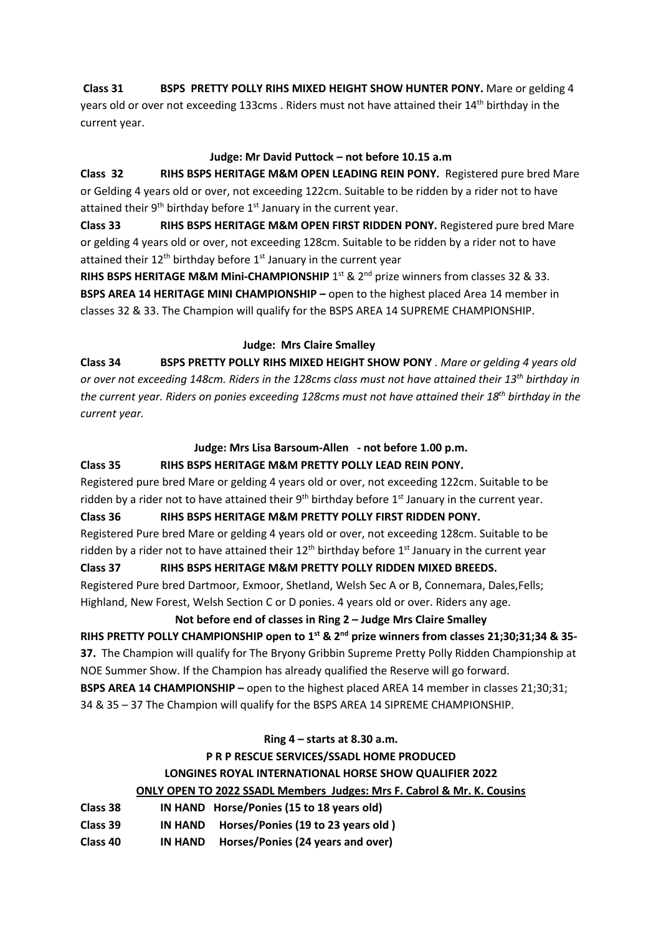**Class 31 BSPS PRETTY POLLY RIHS MIXED HEIGHT SHOW HUNTER PONY.** Mare or gelding 4 years old or over not exceeding 133cms. Riders must not have attained their 14<sup>th</sup> birthday in the current year.

### **Judge: Mr David Puttock – not before 10.15 a.m**

**Class 32 RIHS BSPS HERITAGE M&M OPEN LEADING REIN PONY.** Registered pure bred Mare or Gelding 4 years old or over, not exceeding 122cm. Suitable to be ridden by a rider not to have attained their  $9<sup>th</sup>$  birthday before  $1<sup>st</sup>$  January in the current year.

**Class 33 RIHS BSPS HERITAGE M&M OPEN FIRST RIDDEN PONY.** Registered pure bred Mare or gelding 4 years old or over, not exceeding 128cm. Suitable to be ridden by a rider not to have attained their  $12<sup>th</sup>$  birthday before  $1<sup>st</sup>$  January in the current year

RIHS BSPS HERITAGE M&M Mini-CHAMPIONSHIP 1<sup>st</sup> & 2<sup>nd</sup> prize winners from classes 32 & 33. **BSPS AREA 14 HERITAGE MINI CHAMPIONSHIP –** open to the highest placed Area 14 member in classes 32 & 33. The Champion will qualify for the BSPS AREA 14 SUPREME CHAMPIONSHIP.

## **Judge: Mrs Claire Smalley**

**Class 34 BSPS PRETTY POLLY RIHS MIXED HEIGHT SHOW PONY** *. Mare or gelding 4 years old or over not exceeding 148cm. Riders in the 128cms class must not have attained their 13th birthday in the current year. Riders on ponies exceeding 128cms must not have attained their 18th birthday in the current year.*

## **Judge: Mrs Lisa Barsoum-Allen - not before 1.00 p.m.**

## **Class 35 RIHS BSPS HERITAGE M&M PRETTY POLLY LEAD REIN PONY.**

Registered pure bred Mare or gelding 4 years old or over, not exceeding 122cm. Suitable to be ridden by a rider not to have attained their  $9<sup>th</sup>$  birthday before  $1<sup>st</sup>$  January in the current year.

## **Class 36 RIHS BSPS HERITAGE M&M PRETTY POLLY FIRST RIDDEN PONY.**

Registered Pure bred Mare or gelding 4 years old or over, not exceeding 128cm. Suitable to be ridden by a rider not to have attained their  $12<sup>th</sup>$  birthday before  $1<sup>st</sup>$  January in the current year

## **Class 37 RIHS BSPS HERITAGE M&M PRETTY POLLY RIDDEN MIXED BREEDS.**

Registered Pure bred Dartmoor, Exmoor, Shetland, Welsh Sec A or B, Connemara, Dales,Fells; Highland, New Forest, Welsh Section C or D ponies. 4 years old or over. Riders any age.

## **Not before end of classes in Ring 2 – Judge Mrs Claire Smalley**

**RIHS PRETTY POLLY CHAMPIONSHIP open to 1st & 2nd prize winners from classes 21;30;31;34 & 35- 37.** The Champion will qualify for The Bryony Gribbin Supreme Pretty Polly Ridden Championship at NOE Summer Show. If the Champion has already qualified the Reserve will go forward. **BSPS AREA 14 CHAMPIONSHIP –** open to the highest placed AREA 14 member in classes 21;30;31; 34 & 35 – 37 The Champion will qualify for the BSPS AREA 14 SIPREME CHAMPIONSHIP.

# **Ring 4 – starts at 8.30 a.m. P R P RESCUE SERVICES/SSADL HOME PRODUCED LONGINES ROYAL INTERNATIONAL HORSE SHOW QUALIFIER 2022 ONLY OPEN TO 2022 SSADL Members Judges: Mrs F. Cabrol & Mr. K. Cousins**

| Class 38 |                | IN HAND Horse/Ponies (15 to 18 years old) |
|----------|----------------|-------------------------------------------|
| Class 39 | IN HAND        | Horses/Ponies (19 to 23 years old)        |
| Class 40 | <b>IN HAND</b> | Horses/Ponies (24 years and over)         |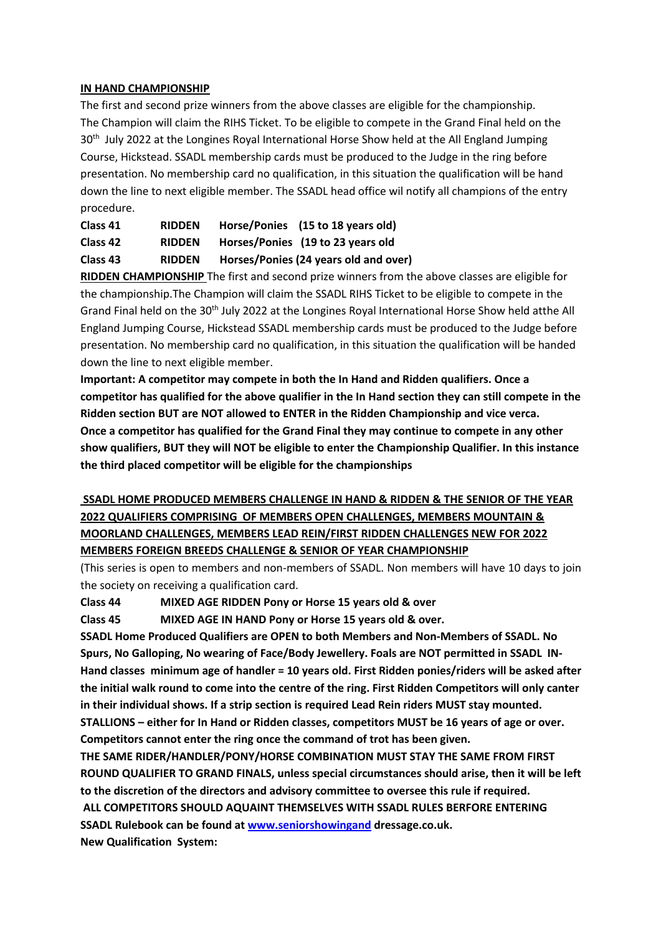#### **IN HAND CHAMPIONSHIP**

The first and second prize winners from the above classes are eligible for the championship. The Champion will claim the RIHS Ticket. To be eligible to compete in the Grand Final held on the 30<sup>th</sup> July 2022 at the Longines Royal International Horse Show held at the All England Jumping Course, Hickstead. SSADL membership cards must be produced to the Judge in the ring before presentation. No membership card no qualification, in this situation the qualification will be hand down the line to next eligible member. The SSADL head office wil notify all champions of the entry procedure.

| Class 41 | <b>RIDDEN</b> | Horse/Ponies (15 to 18 years old)     |
|----------|---------------|---------------------------------------|
| Class 42 | <b>RIDDEN</b> | Horses/Ponies (19 to 23 years old     |
| Class 43 | <b>RIDDEN</b> | Horses/Ponies (24 years old and over) |

**RIDDEN CHAMPIONSHIP** The first and second prize winners from the above classes are eligible for the championship.The Champion will claim the SSADL RIHS Ticket to be eligible to compete in the Grand Final held on the 30<sup>th</sup> July 2022 at the Longines Royal International Horse Show held atthe All England Jumping Course, Hickstead SSADL membership cards must be produced to the Judge before presentation. No membership card no qualification, in this situation the qualification will be handed down the line to next eligible member.

**Important: A competitor may compete in both the In Hand and Ridden qualifiers. Once a competitor has qualified for the above qualifier in the In Hand section they can still compete in the Ridden section BUT are NOT allowed to ENTER in the Ridden Championship and vice verca. Once a competitor has qualified for the Grand Final they may continue to compete in any other show qualifiers, BUT they will NOT be eligible to enter the Championship Qualifier. In this instance the third placed competitor will be eligible for the championships**

## **SSADL HOME PRODUCED MEMBERS CHALLENGE IN HAND & RIDDEN & THE SENIOR OF THE YEAR 2022 QUALIFIERS COMPRISING OF MEMBERS OPEN CHALLENGES, MEMBERS MOUNTAIN & MOORLAND CHALLENGES, MEMBERS LEAD REIN/FIRST RIDDEN CHALLENGES NEW FOR 2022 MEMBERS FOREIGN BREEDS CHALLENGE & SENIOR OF YEAR CHAMPIONSHIP**

(This series is open to members and non-members of SSADL. Non members will have 10 days to join the society on receiving a qualification card.

### **Class 44 MIXED AGE RIDDEN Pony or Horse 15 years old & over**

**Class 45 MIXED AGE IN HAND Pony or Horse 15 years old & over.**

**SSADL Home Produced Qualifiers are OPEN to both Members and Non-Members of SSADL. No Spurs, No Galloping, No wearing of Face/Body Jewellery. Foals are NOT permitted in SSADL IN-Hand classes minimum age of handler = 10 years old. First Ridden ponies/riders will be asked after the initial walk round to come into the centre of the ring. First Ridden Competitors will only canter in their individual shows. If a strip section is required Lead Rein riders MUST stay mounted.**

**STALLIONS – either for In Hand or Ridden classes, competitors MUST be 16 years of age or over. Competitors cannot enter the ring once the command of trot has been given.**

**THE SAME RIDER/HANDLER/PONY/HORSE COMBINATION MUST STAY THE SAME FROM FIRST ROUND QUALIFIER TO GRAND FINALS, unless special circumstances should arise, then it will be left to the discretion of the directors and advisory committee to oversee this rule if required.**

**ALL COMPETITORS SHOULD AQUAINT THEMSELVES WITH SSADL RULES BERFORE ENTERING SSADL Rulebook can be found at www.seniorshowingand dressage.co.uk. New Qualification System:**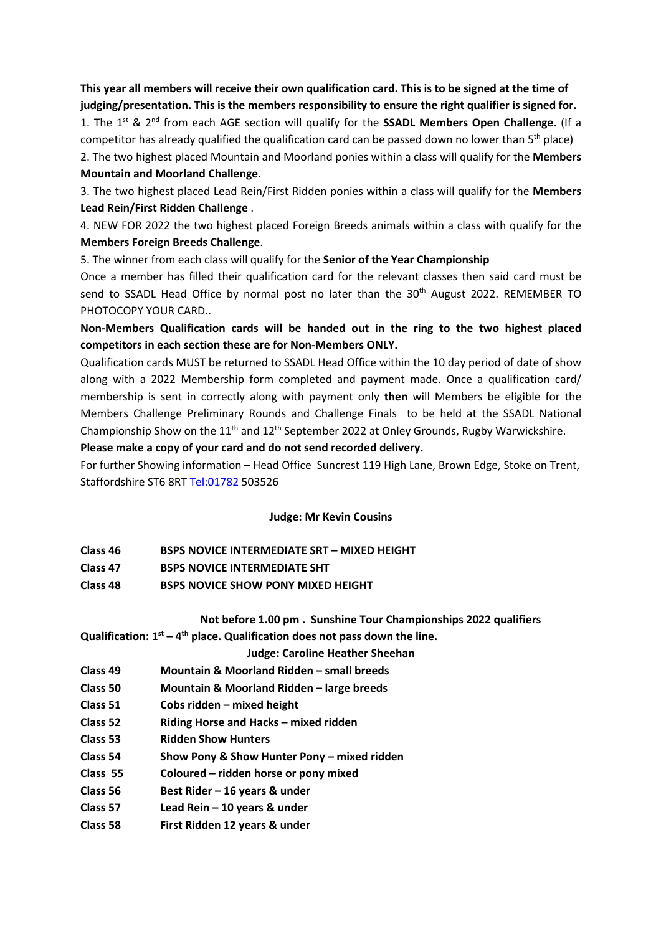**This year all members will receive their own qualification card. This is to be signed at the time of judging/presentation. This is the members responsibility to ensure the right qualifier is signed for.**

1. The 1st & 2nd from each AGE section will qualify for the **SSADL Members Open Challenge**. (If a competitor has already qualified the qualification card can be passed down no lower than 5<sup>th</sup> place)

2. The two highest placed Mountain and Moorland ponies within a class will qualify for the **Members Mountain and Moorland Challenge**.

3. The two highest placed Lead Rein/First Ridden ponies within a class will qualify for the **Members Lead Rein/First Ridden Challenge** .

4. NEW FOR 2022 the two highest placed Foreign Breeds animals within a class with qualify for the **Members Foreign Breeds Challenge**.

5. The winner from each class will qualify for the **Senior of the Year Championship**

Once a member has filled their qualification card for the relevant classes then said card must be send to SSADL Head Office by normal post no later than the  $30<sup>th</sup>$  August 2022. REMEMBER TO PHOTOCOPY YOUR CARD..

**Non-Members Qualification cards will be handed out in the ring to the two highest placed competitors in each section these are for Non-Members ONLY.**

Qualification cards MUST be returned to SSADL Head Office within the 10 day period of date of show along with a 2022 Membership form completed and payment made. Once a qualification card/ membership is sent in correctly along with payment only **then** will Members be eligible for the Members Challenge Preliminary Rounds and Challenge Finals to be held at the SSADL National Championship Show on the 11<sup>th</sup> and 12<sup>th</sup> September 2022 at Onley Grounds, Rugby Warwickshire.

**Please make a copy of your card and do not send recorded delivery.**

For further Showing information – Head Office Suncrest 119 High Lane, Brown Edge, Stoke on Trent, Staffordshire ST6 8RT Tel:01782 503526

### **Judge: Mr Kevin Cousins**

| Class 46 | <b>BSPS NOVICE INTERMEDIATE SRT - MIXED HEIGHT</b> |
|----------|----------------------------------------------------|
| Class 47 | <b>BSPS NOVICE INTERMEDIATE SHT</b>                |
| Class 48 | <b>BSPS NOVICE SHOW PONY MIXED HEIGHT</b>          |

### **Not before 1.00 pm . Sunshine Tour Championships 2022 qualifiers**

**Qualification: 1st – 4th place. Qualification does not pass down the line.**

### **Judge: Caroline Heather Sheehan**

- **Class 49 Mountain & Moorland Ridden – small breeds**
- **Class 50 Mountain & Moorland Ridden – large breeds**
- **Class 51 Cobs ridden – mixed height**
- **Class 52 Riding Horse and Hacks – mixed ridden**
- **Class 53 Ridden Show Hunters**
- **Class 54 Show Pony & Show Hunter Pony – mixed ridden**
- **Class 55 Coloured – ridden horse or pony mixed**
- **Class 56 Best Rider – 16 years & under**
- **Class 57 Lead Rein – 10 years & under**
- **Class 58 First Ridden 12 years & under**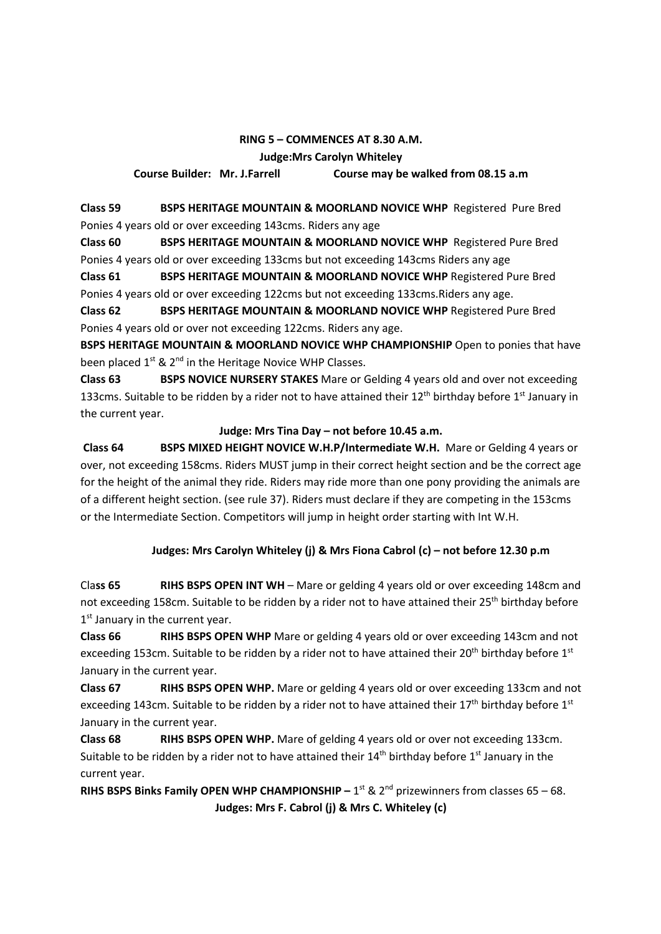## **RING 5 – COMMENCES AT 8.30 A.M. Judge:Mrs Carolyn Whiteley Course Builder: Mr. J.Farrell Course may be walked from 08.15 a.m**

**Class 59 BSPS HERITAGE MOUNTAIN & MOORLAND NOVICE WHP** Registered Pure Bred Ponies 4 years old or over exceeding 143cms. Riders any age

**Class 60 BSPS HERITAGE MOUNTAIN & MOORLAND NOVICE WHP** Registered Pure Bred Ponies 4 years old or over exceeding 133cms but not exceeding 143cms Riders any age

**Class 61 BSPS HERITAGE MOUNTAIN & MOORLAND NOVICE WHP** Registered Pure Bred Ponies 4 years old or over exceeding 122cms but not exceeding 133cms.Riders any age.

**Class 62 BSPS HERITAGE MOUNTAIN & MOORLAND NOVICE WHP** Registered Pure Bred Ponies 4 years old or over not exceeding 122cms. Riders any age.

**BSPS HERITAGE MOUNTAIN & MOORLAND NOVICE WHP CHAMPIONSHIP** Open to ponies that have been placed  $1^{st}$  &  $2^{nd}$  in the Heritage Novice WHP Classes.

**Class 63 BSPS NOVICE NURSERY STAKES** Mare or Gelding 4 years old and over not exceeding 133cms. Suitable to be ridden by a rider not to have attained their  $12<sup>th</sup>$  birthday before  $1<sup>st</sup>$  January in the current year.

### **Judge: Mrs Tina Day – not before 10.45 a.m.**

**Class 64 BSPS MIXED HEIGHT NOVICE W.H.P/Intermediate W.H.** Mare or Gelding 4 years or over, not exceeding 158cms. Riders MUST jump in their correct height section and be the correct age for the height of the animal they ride. Riders may ride more than one pony providing the animals are of a different height section. (see rule 37). Riders must declare if they are competing in the 153cms or the Intermediate Section. Competitors will jump in height order starting with Int W.H.

## **Judges: Mrs Carolyn Whiteley (j) & Mrs Fiona Cabrol (c) – not before 12.30 p.m**

Cla**ss 65 RIHS BSPS OPEN INT WH** – Mare or gelding 4 years old or over exceeding 148cm and not exceeding 158cm. Suitable to be ridden by a rider not to have attained their 25<sup>th</sup> birthday before  $1<sup>st</sup>$  January in the current year.

**Class 66 RIHS BSPS OPEN WHP** Mare or gelding 4 years old or over exceeding 143cm and not exceeding 153cm. Suitable to be ridden by a rider not to have attained their 20<sup>th</sup> birthday before 1<sup>st</sup> January in the current year.

**Class 67 RIHS BSPS OPEN WHP.** Mare or gelding 4 years old or over exceeding 133cm and not exceeding 143cm. Suitable to be ridden by a rider not to have attained their 17<sup>th</sup> birthday before 1<sup>st</sup> January in the current year.

**Class 68 RIHS BSPS OPEN WHP.** Mare of gelding 4 years old or over not exceeding 133cm. Suitable to be ridden by a rider not to have attained their  $14<sup>th</sup>$  birthday before  $1<sup>st</sup>$  January in the current year.

**RIHS BSPS Binks Family OPEN WHP CHAMPIONSHIP –**  $1^{st}$  **&**  $2^{nd}$  **prizewinners from classes 65 – 68. Judges: Mrs F. Cabrol (j) & Mrs C. Whiteley (c)**